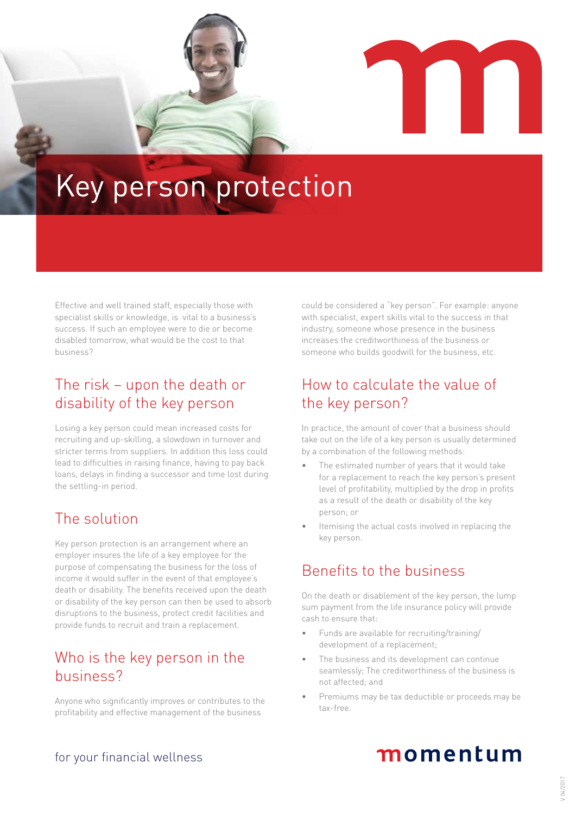

# Key person protection

Effective and well trained staff, especially those with specialist skills or knowledge, is vital to a business's success. If such an employee were to die or become disabled tomorrow, what would be the cost to that business?

## The risk – upon the death or disability of the key person

Losing a key person could mean increased costs for recruiting and up-skilling, a slowdown in turnover and stricter terms from suppliers. In addition this loss could lead to difficulties in raising finance, having to pay back loans, delays in finding a successor and time lost during the settling-in period.

## The solution

Key person protection is an arrangement where an employer insures the life of a key employee for the purpose of compensating the business for the loss of income it would suffer in the event of that employee's death or disability. The benefits received upon the death or disability of the key person can then be used to absorb disruptions to the business, protect credit facilities and provide funds to recruit and train a replacement.

## Who is the key person in the business?

Anyone who significantly improves or contributes to the profitability and effective management of the business

could be considered a "key person". For example: anyone with specialist, expert skills vital to the success in that industry, someone whose presence in the business increases the creditworthiness of the business or someone who builds goodwill for the business, etc.

## How to calculate the value of the key person?

In practice, the amount of cover that a business should take out on the life of a key person is usually determined by a combination of the following methods:

- The estimated number of years that it would take for a replacement to reach the key person's present level of profitability, multiplied by the drop in profits as a result of the death or disability of the key person; or
- Itemising the actual costs involved in replacing the key person.

## Benefits to the business

On the death or disablement of the key person, the lump sum payment from the life insurance policy will provide cash to ensure that:

- Funds are available for recruiting/training/ development of a replacement;
- The business and its development can continue seamlessly; The creditworthiness of the business is not affected; and
- Premiums may be tax deductible or proceeds may be tax-free.

### for your financial wellness

## momentum